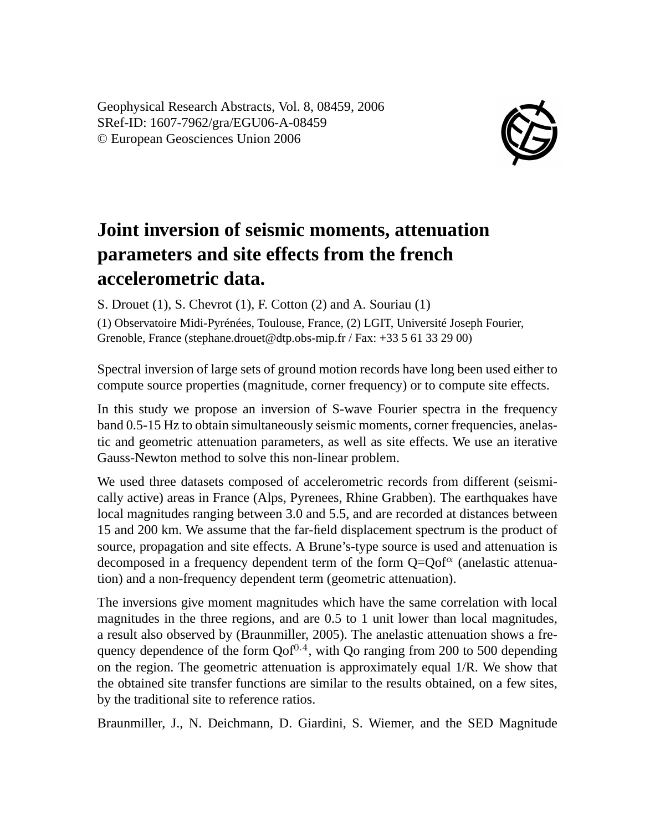Geophysical Research Abstracts, Vol. 8, 08459, 2006 SRef-ID: 1607-7962/gra/EGU06-A-08459 © European Geosciences Union 2006



## **Joint inversion of seismic moments, attenuation parameters and site effects from the french accelerometric data.**

S. Drouet (1), S. Chevrot (1), F. Cotton (2) and A. Souriau (1)

(1) Observatoire Midi-Pyrénées, Toulouse, France, (2) LGIT, Université Joseph Fourier, Grenoble, France (stephane.drouet@dtp.obs-mip.fr / Fax: +33 5 61 33 29 00)

Spectral inversion of large sets of ground motion records have long been used either to compute source properties (magnitude, corner frequency) or to compute site effects.

In this study we propose an inversion of S-wave Fourier spectra in the frequency band 0.5-15 Hz to obtain simultaneously seismic moments, corner frequencies, anelastic and geometric attenuation parameters, as well as site effects. We use an iterative Gauss-Newton method to solve this non-linear problem.

We used three datasets composed of accelerometric records from different (seismically active) areas in France (Alps, Pyrenees, Rhine Grabben). The earthquakes have local magnitudes ranging between 3.0 and 5.5, and are recorded at distances between 15 and 200 km. We assume that the far-field displacement spectrum is the product of source, propagation and site effects. A Brune's-type source is used and attenuation is decomposed in a frequency dependent term of the form  $Q=Qof^{\alpha}$  (anelastic attenuation) and a non-frequency dependent term (geometric attenuation).

The inversions give moment magnitudes which have the same correlation with local magnitudes in the three regions, and are 0.5 to 1 unit lower than local magnitudes, a result also observed by (Braunmiller, 2005). The anelastic attenuation shows a frequency dependence of the form  $Qof^{0.4}$ , with  $Q$ o ranging from 200 to 500 depending on the region. The geometric attenuation is approximately equal 1/R. We show that the obtained site transfer functions are similar to the results obtained, on a few sites, by the traditional site to reference ratios.

Braunmiller, J., N. Deichmann, D. Giardini, S. Wiemer, and the SED Magnitude